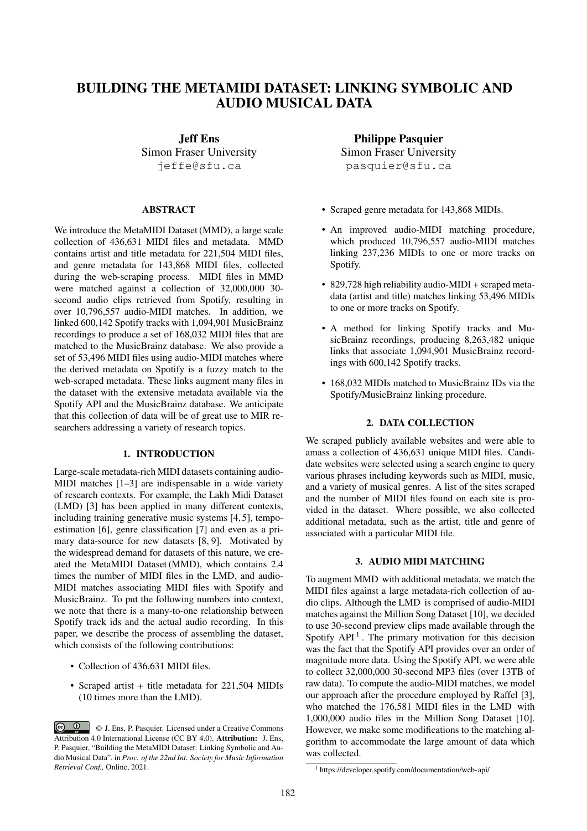# BUILDING THE METAMIDI DATASET: LINKING SYMBOLIC AND AUDIO MUSICAL DATA

Jeff Ens Simon Fraser University jeffe@sfu.ca

# ABSTRACT

We introduce the MetaMIDI Dataset (MMD), a large scale collection of 436,631 MIDI files and metadata. MMD contains artist and title metadata for 221,504 MIDI files, and genre metadata for 143,868 MIDI files, collected during the web-scraping process. MIDI files in MMD were matched against a collection of 32,000,000 30 second audio clips retrieved from Spotify, resulting in over 10,796,557 audio-MIDI matches. In addition, we linked 600,142 Spotify tracks with 1,094,901 MusicBrainz recordings to produce a set of 168,032 MIDI files that are matched to the MusicBrainz database. We also provide a set of 53,496 MIDI files using audio-MIDI matches where the derived metadata on Spotify is a fuzzy match to the web-scraped metadata. These links augment many files in the dataset with the extensive metadata available via the Spotify API and the MusicBrainz database. We anticipate that this collection of data will be of great use to MIR researchers addressing a variety of research topics.

# 1. INTRODUCTION

Large-scale metadata-rich MIDI datasets containing audio-MIDI matches [1–3] are indispensable in a wide variety of research contexts. For example, the Lakh Midi Dataset (LMD) [3] has been applied in many different contexts, including training generative music systems [4, 5], tempoestimation [6], genre classification [7] and even as a primary data-source for new datasets [8, 9]. Motivated by the widespread demand for datasets of this nature, we created the MetaMIDI Dataset (MMD), which contains 2.4 times the number of MIDI files in the LMD, and audio-MIDI matches associating MIDI files with Spotify and MusicBrainz. To put the following numbers into context, we note that there is a many-to-one relationship between Spotify track ids and the actual audio recording. In this paper, we describe the process of assembling the dataset, which consists of the following contributions:

- Collection of 436,631 MIDI files.
- Scraped artist + title metadata for 221,504 MIDIs (10 times more than the LMD).

Philippe Pasquier Simon Fraser University pasquier@sfu.ca

- Scraped genre metadata for 143,868 MIDIs.
- An improved audio-MIDI matching procedure, which produced 10,796,557 audio-MIDI matches linking 237,236 MIDIs to one or more tracks on Spotify.
- 829,728 high reliability audio-MIDI + scraped metadata (artist and title) matches linking 53,496 MIDIs to one or more tracks on Spotify.
- A method for linking Spotify tracks and MusicBrainz recordings, producing 8,263,482 unique links that associate 1,094,901 MusicBrainz recordings with 600,142 Spotify tracks.
- 168,032 MIDIs matched to MusicBrainz IDs via the Spotify/MusicBrainz linking procedure.

# 2. DATA COLLECTION

We scraped publicly available websites and were able to amass a collection of 436,631 unique MIDI files. Candidate websites were selected using a search engine to query various phrases including keywords such as MIDI, music, and a variety of musical genres. A list of the sites scraped and the number of MIDI files found on each site is provided in the dataset. Where possible, we also collected additional metadata, such as the artist, title and genre of associated with a particular MIDI file.

## 3. AUDIO MIDI MATCHING

To augment MMD with additional metadata, we match the MIDI files against a large metadata-rich collection of audio clips. Although the LMD is comprised of audio-MIDI matches against the Million Song Dataset [10], we decided to use 30-second preview clips made available through the Spotify  $API<sup>1</sup>$ . The primary motivation for this decision was the fact that the Spotify API provides over an order of magnitude more data. Using the Spotify API, we were able to collect 32,000,000 30-second MP3 files (over 13TB of raw data). To compute the audio-MIDI matches, we model our approach after the procedure employed by Raffel [3], who matched the 176,581 MIDI files in the LMD with 1,000,000 audio files in the Million Song Dataset [10]. However, we make some modifications to the matching algorithm to accommodate the large amount of data which was collected.

<sup>©</sup> J. Ens, P. Pasquier. Licensed under a Creative Commons Attribution 4.0 International License (CC BY 4.0). Attribution: J. Ens, P. Pasquier, "Building the MetaMIDI Dataset: Linking Symbolic and Audio Musical Data", in *Proc. of the 22nd Int. Society for Music Information Retrieval Conf.,* Online, 2021.

<sup>1</sup> https://developer.spotify.com/documentation/web-api/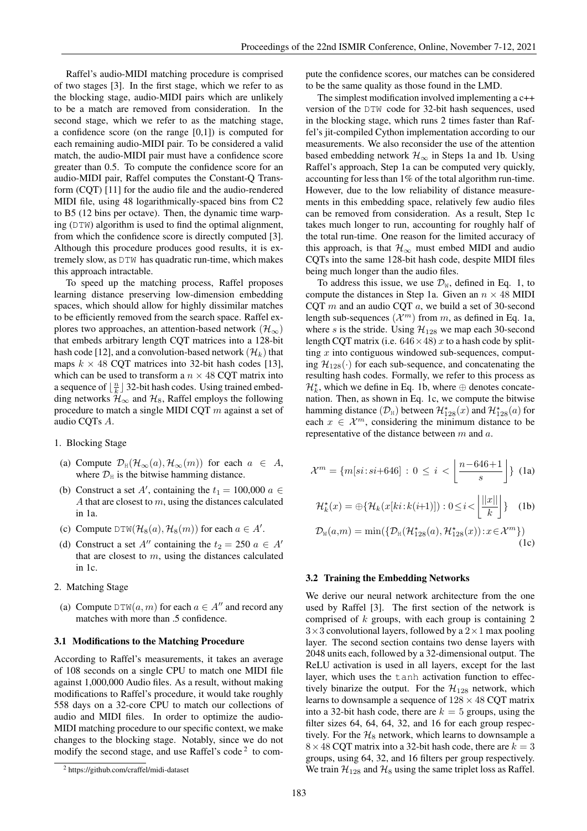Raffel's audio-MIDI matching procedure is comprised of two stages [3]. In the first stage, which we refer to as the blocking stage, audio-MIDI pairs which are unlikely to be a match are removed from consideration. In the second stage, which we refer to as the matching stage, a confidence score (on the range [0,1]) is computed for each remaining audio-MIDI pair. To be considered a valid match, the audio-MIDI pair must have a confidence score greater than 0.5. To compute the confidence score for an audio-MIDI pair, Raffel computes the Constant-Q Transform (CQT) [11] for the audio file and the audio-rendered MIDI file, using 48 logarithmically-spaced bins from C2 to B5 (12 bins per octave). Then, the dynamic time warping (DTW) algorithm is used to find the optimal alignment, from which the confidence score is directly computed [3]. Although this procedure produces good results, it is extremely slow, as DTW has quadratic run-time, which makes this approach intractable.

To speed up the matching process, Raffel proposes learning distance preserving low-dimension embedding spaces, which should allow for highly dissimilar matches to be efficiently removed from the search space. Raffel explores two approaches, an attention-based network ( $\mathcal{H}_{\infty}$ ) that embeds arbitrary length CQT matrices into a 128-bit hash code [12], and a convolution-based network  $(\mathcal{H}_k)$  that maps  $k \times 48$  CQT matrices into 32-bit hash codes [13], which can be used to transform a  $n \times 48$  CQT matrix into a sequence of  $\lfloor \frac{n}{k} \rfloor$  32-bit hash codes. Using trained embedding networks  $\mathcal{H}_{\infty}$  and  $\mathcal{H}_{8}$ , Raffel employs the following procedure to match a single MIDI CQT  $m$  against a set of audio CQTs A.

- 1. Blocking Stage
- (a) Compute  $\mathcal{D}_{\text{H}}(\mathcal{H}_{\infty}(a), \mathcal{H}_{\infty}(m))$  for each  $a \in A$ , where  $\mathcal{D}_{\rm H}$  is the bitwise hamming distance.
- (b) Construct a set A', containing the  $t_1 = 100,000$   $a \in$ A that are closest to m, using the distances calculated in 1a.
- (c) Compute  $DTW(H_8(a), H_8(m))$  for each  $a \in A'$ .
- (d) Construct a set A<sup>n</sup> containing the  $t_2 = 250$   $a \in A$ <sup>n</sup> that are closest to  $m$ , using the distances calculated in 1c.
- 2. Matching Stage
- (a) Compute  $DTW(a, m)$  for each  $a \in A''$  and record any matches with more than .5 confidence.

#### 3.1 Modifications to the Matching Procedure

According to Raffel's measurements, it takes an average of 108 seconds on a single CPU to match one MIDI file against 1,000,000 Audio files. As a result, without making modifications to Raffel's procedure, it would take roughly 558 days on a 32-core CPU to match our collections of audio and MIDI files. In order to optimize the audio-MIDI matching procedure to our specific context, we make changes to the blocking stage. Notably, since we do not modify the second stage, and use Raffel's code<sup>2</sup> to compute the confidence scores, our matches can be considered to be the same quality as those found in the LMD.

The simplest modification involved implementing a c++ version of the DTW code for 32-bit hash sequences, used in the blocking stage, which runs 2 times faster than Raffel's jit-compiled Cython implementation according to our measurements. We also reconsider the use of the attention based embedding network  $\mathcal{H}_{\infty}$  in Steps 1a and 1b. Using Raffel's approach, Step 1a can be computed very quickly, accounting for less than 1% of the total algorithm run-time. However, due to the low reliability of distance measurements in this embedding space, relatively few audio files can be removed from consideration. As a result, Step 1c takes much longer to run, accounting for roughly half of the total run-time. One reason for the limited accuracy of this approach, is that  $\mathcal{H}_{\infty}$  must embed MIDI and audio CQTs into the same 128-bit hash code, despite MIDI files being much longer than the audio files.

To address this issue, we use  $\mathcal{D}_W$ , defined in Eq. 1, to compute the distances in Step 1a. Given an  $n \times 48$  MIDI CQT  $m$  and an audio CQT  $a$ , we build a set of 30-second length sub-sequences  $(\mathcal{X}^m)$  from m, as defined in Eq. 1a, where s is the stride. Using  $\mathcal{H}_{128}$  we map each 30-second length CQT matrix (i.e.  $646 \times 48$ ) x to a hash code by splitting  $x$  into contiguous windowed sub-sequences, computing  $\mathcal{H}_{128}(\cdot)$  for each sub-sequence, and concatenating the resulting hash codes. Formally, we refer to this process as  $\mathcal{H}_k^*$ , which we define in Eq. 1b, where  $\oplus$  denotes concatenation. Then, as shown in Eq. 1c, we compute the bitwise hamming distance  $(\mathcal{D}_H)$  between  $\mathcal{H}^*_{128}(x)$  and  $\mathcal{H}^*_{128}(a)$  for each  $x \in \mathcal{X}^m$ , considering the minimum distance to be representative of the distance between m and a.

$$
\mathcal{X}^m = \{m[si:si+646] \,:\, 0 \le i \lt \left\lfloor \frac{n-646+1}{s} \right\rfloor\} \tag{1a}
$$

$$
\mathcal{H}_k^{\star}(x) = \bigoplus \{ \mathcal{H}_k(x[ki:k(i+1)]): 0 \le i < \left| \frac{||x||}{k} \right| \} \tag{1b}
$$

$$
\mathcal{D}_{\mathbb{W}}(a,m) = \min(\{\mathcal{D}_{\mathbb{H}}(\mathcal{H}_{128}^{\star}(a),\mathcal{H}_{128}^{\star}(x)) : x \in \mathcal{X}^{m}\})
$$
(1c)

#### 3.2 Training the Embedding Networks

We derive our neural network architecture from the one used by Raffel [3]. The first section of the network is comprised of  $k$  groups, with each group is containing 2  $3\times3$  convolutional layers, followed by a  $2\times1$  max pooling layer. The second section contains two dense layers with 2048 units each, followed by a 32-dimensional output. The ReLU activation is used in all layers, except for the last layer, which uses the tanh activation function to effectively binarize the output. For the  $\mathcal{H}_{128}$  network, which learns to downsample a sequence of  $128 \times 48$  CQT matrix into a 32-bit hash code, there are  $k = 5$  groups, using the filter sizes 64, 64, 64, 32, and 16 for each group respectively. For the  $\mathcal{H}_8$  network, which learns to downsample a  $8 \times 48$  CQT matrix into a 32-bit hash code, there are  $k = 3$ groups, using 64, 32, and 16 filters per group respectively. We train  $\mathcal{H}_{128}$  and  $\mathcal{H}_8$  using the same triplet loss as Raffel.

<sup>2</sup> https://github.com/craffel/midi-dataset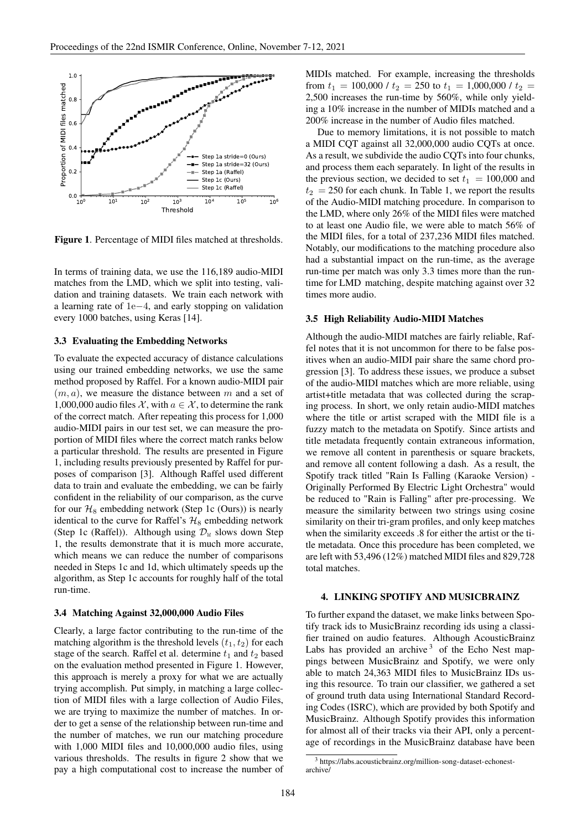

Figure 1. Percentage of MIDI files matched at thresholds.

In terms of training data, we use the 116,189 audio-MIDI matches from the LMD, which we split into testing, validation and training datasets. We train each network with a learning rate of 1e−4, and early stopping on validation every 1000 batches, using Keras [14].

## 3.3 Evaluating the Embedding Networks

To evaluate the expected accuracy of distance calculations using our trained embedding networks, we use the same method proposed by Raffel. For a known audio-MIDI pair  $(m, a)$ , we measure the distance between m and a set of 1,000,000 audio files  $\mathcal{X}$ , with  $a \in \mathcal{X}$ , to determine the rank of the correct match. After repeating this process for 1,000 audio-MIDI pairs in our test set, we can measure the proportion of MIDI files where the correct match ranks below a particular threshold. The results are presented in Figure 1, including results previously presented by Raffel for purposes of comparison [3]. Although Raffel used different data to train and evaluate the embedding, we can be fairly confident in the reliability of our comparison, as the curve for our  $H_8$  embedding network (Step 1c (Ours)) is nearly identical to the curve for Raffel's  $\mathcal{H}_8$  embedding network (Step 1c (Raffel)). Although using  $\mathcal{D}_{W}$  slows down Step 1, the results demonstrate that it is much more accurate, which means we can reduce the number of comparisons needed in Steps 1c and 1d, which ultimately speeds up the algorithm, as Step 1c accounts for roughly half of the total run-time.

# 3.4 Matching Against 32,000,000 Audio Files

Clearly, a large factor contributing to the run-time of the matching algorithm is the threshold levels  $(t_1, t_2)$  for each stage of the search. Raffel et al. determine  $t_1$  and  $t_2$  based on the evaluation method presented in Figure 1. However, this approach is merely a proxy for what we are actually trying accomplish. Put simply, in matching a large collection of MIDI files with a large collection of Audio Files, we are trying to maximize the number of matches. In order to get a sense of the relationship between run-time and the number of matches, we run our matching procedure with 1,000 MIDI files and 10,000,000 audio files, using various thresholds. The results in figure 2 show that we pay a high computational cost to increase the number of MIDIs matched. For example, increasing the thresholds from  $t_1 = 100,000$  /  $t_2 = 250$  to  $t_1 = 1,000,000$  /  $t_2 =$ 2,500 increases the run-time by 560%, while only yielding a 10% increase in the number of MIDIs matched and a 200% increase in the number of Audio files matched.

Due to memory limitations, it is not possible to match a MIDI CQT against all 32,000,000 audio CQTs at once. As a result, we subdivide the audio CQTs into four chunks, and process them each separately. In light of the results in the previous section, we decided to set  $t_1 = 100,000$  and  $t_2$  = 250 for each chunk. In Table 1, we report the results of the Audio-MIDI matching procedure. In comparison to the LMD, where only 26% of the MIDI files were matched to at least one Audio file, we were able to match 56% of the MIDI files, for a total of 237,236 MIDI files matched. Notably, our modifications to the matching procedure also had a substantial impact on the run-time, as the average run-time per match was only 3.3 times more than the runtime for LMD matching, despite matching against over 32 times more audio.

#### 3.5 High Reliability Audio-MIDI Matches

Although the audio-MIDI matches are fairly reliable, Raffel notes that it is not uncommon for there to be false positives when an audio-MIDI pair share the same chord progression [3]. To address these issues, we produce a subset of the audio-MIDI matches which are more reliable, using artist+title metadata that was collected during the scraping process. In short, we only retain audio-MIDI matches where the title or artist scraped with the MIDI file is a fuzzy match to the metadata on Spotify. Since artists and title metadata frequently contain extraneous information, we remove all content in parenthesis or square brackets, and remove all content following a dash. As a result, the Spotify track titled "Rain Is Falling (Karaoke Version) - Originally Performed By Electric Light Orchestra" would be reduced to "Rain is Falling" after pre-processing. We measure the similarity between two strings using cosine similarity on their tri-gram profiles, and only keep matches when the similarity exceeds .8 for either the artist or the title metadata. Once this procedure has been completed, we are left with 53,496 (12%) matched MIDI files and 829,728 total matches.

#### 4. LINKING SPOTIFY AND MUSICBRAINZ

To further expand the dataset, we make links between Spotify track ids to MusicBrainz recording ids using a classifier trained on audio features. Although AcousticBrainz Labs has provided an archive  $3$  of the Echo Nest mappings between MusicBrainz and Spotify, we were only able to match 24,363 MIDI files to MusicBrainz IDs using this resource. To train our classifier, we gathered a set of ground truth data using International Standard Recording Codes (ISRC), which are provided by both Spotify and MusicBrainz. Although Spotify provides this information for almost all of their tracks via their API, only a percentage of recordings in the MusicBrainz database have been

<sup>3</sup> https://labs.acousticbrainz.org/million-song-dataset-echonestarchive/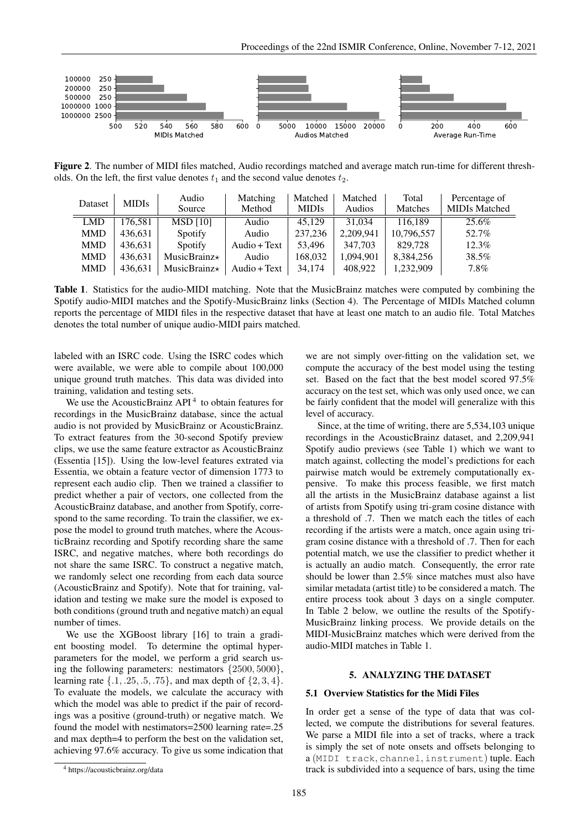

Figure 2. The number of MIDI files matched, Audio recordings matched and average match run-time for different thresholds. On the left, the first value denotes  $t_1$  and the second value denotes  $t_2$ .

| Dataset    | <b>MIDIs</b> | Audio<br>Source     | Matching<br>Method | Matched<br><b>MIDIS</b> | Matched<br>Audios | Total<br>Matches | Percentage of<br><b>MIDIs Matched</b> |
|------------|--------------|---------------------|--------------------|-------------------------|-------------------|------------------|---------------------------------------|
| <b>LMD</b> | 176.581      | MSD[10]             | Audio              | 45,129                  | 31.034            | 116.189          | 25.6%                                 |
| <b>MMD</b> | 436,631      | Spotify             | Audio              | 237,236                 | 2,209,941         | 10,796,557       | 52.7%                                 |
| <b>MMD</b> | 436.631      | Spotify             | Audio + Text       | 53,496                  | 347,703           | 829,728          | $12.3\%$                              |
| <b>MMD</b> | 436.631      | MusicBrainz $\star$ | Audio              | 168,032                 | 1,094,901         | 8,384,256        | 38.5%                                 |
| <b>MMD</b> | 436.631      | MusicBrainz $\star$ | Audio + Text       | 34.174                  | 408,922           | 1,232,909        | $7.8\%$                               |

Table 1. Statistics for the audio-MIDI matching. Note that the MusicBrainz matches were computed by combining the Spotify audio-MIDI matches and the Spotify-MusicBrainz links (Section 4). The Percentage of MIDIs Matched column reports the percentage of MIDI files in the respective dataset that have at least one match to an audio file. Total Matches denotes the total number of unique audio-MIDI pairs matched.

labeled with an ISRC code. Using the ISRC codes which were available, we were able to compile about 100,000 unique ground truth matches. This data was divided into training, validation and testing sets.

We use the AcousticBrainz  $API<sup>4</sup>$  to obtain features for recordings in the MusicBrainz database, since the actual audio is not provided by MusicBrainz or AcousticBrainz. To extract features from the 30-second Spotify preview clips, we use the same feature extractor as AcousticBrainz (Essentia [15]). Using the low-level features extrated via Essentia, we obtain a feature vector of dimension 1773 to represent each audio clip. Then we trained a classifier to predict whether a pair of vectors, one collected from the AcousticBrainz database, and another from Spotify, correspond to the same recording. To train the classifier, we expose the model to ground truth matches, where the AcousticBrainz recording and Spotify recording share the same ISRC, and negative matches, where both recordings do not share the same ISRC. To construct a negative match, we randomly select one recording from each data source (AcousticBrainz and Spotify). Note that for training, validation and testing we make sure the model is exposed to both conditions (ground truth and negative match) an equal number of times.

We use the XGBoost library [16] to train a gradient boosting model. To determine the optimal hyperparameters for the model, we perform a grid search using the following parameters: nestimators {2500, 5000}, learning rate  $\{.1, .25, .5, .75\}$ , and max depth of  $\{2, 3, 4\}$ . To evaluate the models, we calculate the accuracy with which the model was able to predict if the pair of recordings was a positive (ground-truth) or negative match. We found the model with nestimators=2500 learning rate=.25 and max depth=4 to perform the best on the validation set, achieving 97.6% accuracy. To give us some indication that

Since, at the time of writing, there are 5,534,103 unique recordings in the AcousticBrainz dataset, and 2,209,941 Spotify audio previews (see Table 1) which we want to match against, collecting the model's predictions for each pairwise match would be extremely computationally expensive. To make this process feasible, we first match all the artists in the MusicBrainz database against a list of artists from Spotify using tri-gram cosine distance with a threshold of .7. Then we match each the titles of each recording if the artists were a match, once again using trigram cosine distance with a threshold of .7. Then for each potential match, we use the classifier to predict whether it is actually an audio match. Consequently, the error rate should be lower than 2.5% since matches must also have similar metadata (artist title) to be considered a match. The entire process took about 3 days on a single computer. In Table 2 below, we outline the results of the Spotify-MusicBrainz linking process. We provide details on the MIDI-MusicBrainz matches which were derived from the audio-MIDI matches in Table 1.

## 5. ANALYZING THE DATASET

#### 5.1 Overview Statistics for the Midi Files

In order get a sense of the type of data that was collected, we compute the distributions for several features. We parse a MIDI file into a set of tracks, where a track is simply the set of note onsets and offsets belonging to a (MIDI track, channel, instrument) tuple. Each track is subdivided into a sequence of bars, using the time

we are not simply over-fitting on the validation set, we compute the accuracy of the best model using the testing set. Based on the fact that the best model scored 97.5% accuracy on the test set, which was only used once, we can be fairly confident that the model will generalize with this level of accuracy.

<sup>4</sup> https://acousticbrainz.org/data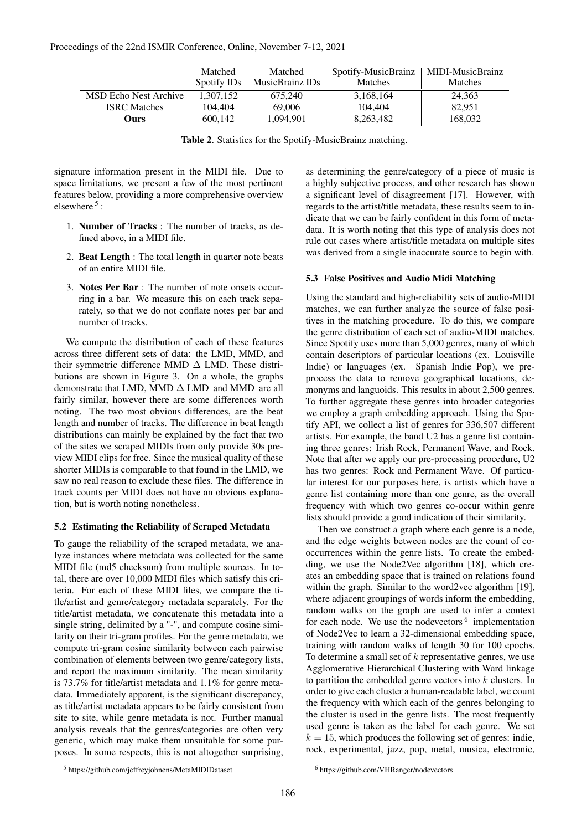|                              | Matched<br>Spotify IDs | Matched<br>MusicBrainz IDs | Spotify-MusicBrainz<br><b>Matches</b> | MIDI-MusicBrainz<br><b>Matches</b> |
|------------------------------|------------------------|----------------------------|---------------------------------------|------------------------------------|
| <b>MSD Echo Nest Archive</b> | 1.307.152              | 675,240                    | 3,168,164                             | 24,363                             |
| <b>ISRC</b> Matches          | 104.404                | 69,006                     | 104.404                               | 82,951                             |
| Ours)                        | 600,142                | 1,094,901                  | 8,263,482                             | 168,032                            |

Table 2. Statistics for the Spotify-MusicBrainz matching.

signature information present in the MIDI file. Due to space limitations, we present a few of the most pertinent features below, providing a more comprehensive overview elsewhere<sup>5</sup>:

- 1. Number of Tracks : The number of tracks, as defined above, in a MIDI file.
- 2. Beat Length : The total length in quarter note beats of an entire MIDI file.
- 3. Notes Per Bar : The number of note onsets occurring in a bar. We measure this on each track separately, so that we do not conflate notes per bar and number of tracks.

We compute the distribution of each of these features across three different sets of data: the LMD, MMD, and their symmetric difference MMD  $\Delta$  LMD. These distributions are shown in Figure 3. On a whole, the graphs demonstrate that LMD, MMD ∆ LMD and MMD are all fairly similar, however there are some differences worth noting. The two most obvious differences, are the beat length and number of tracks. The difference in beat length distributions can mainly be explained by the fact that two of the sites we scraped MIDIs from only provide 30s preview MIDI clips for free. Since the musical quality of these shorter MIDIs is comparable to that found in the LMD, we saw no real reason to exclude these files. The difference in track counts per MIDI does not have an obvious explanation, but is worth noting nonetheless.

# 5.2 Estimating the Reliability of Scraped Metadata

To gauge the reliability of the scraped metadata, we analyze instances where metadata was collected for the same MIDI file (md5 checksum) from multiple sources. In total, there are over 10,000 MIDI files which satisfy this criteria. For each of these MIDI files, we compare the title/artist and genre/category metadata separately. For the title/artist metadata, we concatenate this metadata into a single string, delimited by a "-", and compute cosine similarity on their tri-gram profiles. For the genre metadata, we compute tri-gram cosine similarity between each pairwise combination of elements between two genre/category lists, and report the maximum similarity. The mean similarity is 73.7% for title/artist metadata and 1.1% for genre metadata. Immediately apparent, is the significant discrepancy, as title/artist metadata appears to be fairly consistent from site to site, while genre metadata is not. Further manual analysis reveals that the genres/categories are often very generic, which may make them unsuitable for some purposes. In some respects, this is not altogether surprising, as determining the genre/category of a piece of music is a highly subjective process, and other research has shown a significant level of disagreement [17]. However, with regards to the artist/title metadata, these results seem to indicate that we can be fairly confident in this form of metadata. It is worth noting that this type of analysis does not rule out cases where artist/title metadata on multiple sites was derived from a single inaccurate source to begin with.

# 5.3 False Positives and Audio Midi Matching

Using the standard and high-reliability sets of audio-MIDI matches, we can further analyze the source of false positives in the matching procedure. To do this, we compare the genre distribution of each set of audio-MIDI matches. Since Spotify uses more than 5,000 genres, many of which contain descriptors of particular locations (ex. Louisville Indie) or languages (ex. Spanish Indie Pop), we preprocess the data to remove geographical locations, demonyms and languoids. This results in about 2,500 genres. To further aggregate these genres into broader categories we employ a graph embedding approach. Using the Spotify API, we collect a list of genres for 336,507 different artists. For example, the band U2 has a genre list containing three genres: Irish Rock, Permanent Wave, and Rock. Note that after we apply our pre-processing procedure, U2 has two genres: Rock and Permanent Wave. Of particular interest for our purposes here, is artists which have a genre list containing more than one genre, as the overall frequency with which two genres co-occur within genre lists should provide a good indication of their similarity.

Then we construct a graph where each genre is a node, and the edge weights between nodes are the count of cooccurrences within the genre lists. To create the embedding, we use the Node2Vec algorithm [18], which creates an embedding space that is trained on relations found within the graph. Similar to the word2vec algorithm [19], where adjacent groupings of words inform the embedding, random walks on the graph are used to infer a context for each node. We use the nodevectors  $6$  implementation of Node2Vec to learn a 32-dimensional embedding space, training with random walks of length 30 for 100 epochs. To determine a small set of  $k$  representative genres, we use Agglomerative Hierarchical Clustering with Ward linkage to partition the embedded genre vectors into  $k$  clusters. In order to give each cluster a human-readable label, we count the frequency with which each of the genres belonging to the cluster is used in the genre lists. The most frequently used genre is taken as the label for each genre. We set  $k = 15$ , which produces the following set of genres: indie, rock, experimental, jazz, pop, metal, musica, electronic,

<sup>5</sup> https://github.com/jeffreyjohnens/MetaMIDIDataset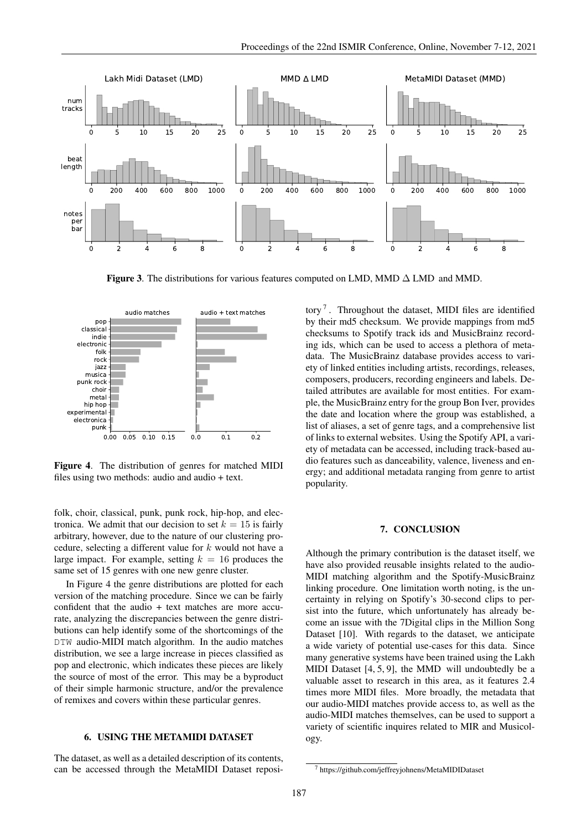

Figure 3. The distributions for various features computed on LMD, MMD ∆ LMD and MMD.



Figure 4. The distribution of genres for matched MIDI files using two methods: audio and audio + text.

folk, choir, classical, punk, punk rock, hip-hop, and electronica. We admit that our decision to set  $k = 15$  is fairly arbitrary, however, due to the nature of our clustering procedure, selecting a different value for k would not have a large impact. For example, setting  $k = 16$  produces the same set of 15 genres with one new genre cluster.

In Figure 4 the genre distributions are plotted for each version of the matching procedure. Since we can be fairly confident that the audio + text matches are more accurate, analyzing the discrepancies between the genre distributions can help identify some of the shortcomings of the DTW audio-MIDI match algorithm. In the audio matches distribution, we see a large increase in pieces classified as pop and electronic, which indicates these pieces are likely the source of most of the error. This may be a byproduct of their simple harmonic structure, and/or the prevalence of remixes and covers within these particular genres.

## 6. USING THE METAMIDI DATASET

The dataset, as well as a detailed description of its contents, can be accessed through the MetaMIDI Dataset reposi-

tory<sup>7</sup>. Throughout the dataset, MIDI files are identified by their md5 checksum. We provide mappings from md5 checksums to Spotify track ids and MusicBrainz recording ids, which can be used to access a plethora of metadata. The MusicBrainz database provides access to variety of linked entities including artists, recordings, releases, composers, producers, recording engineers and labels. Detailed attributes are available for most entities. For example, the MusicBrainz entry for the group Bon Iver, provides the date and location where the group was established, a list of aliases, a set of genre tags, and a comprehensive list of links to external websites. Using the Spotify API, a variety of metadata can be accessed, including track-based audio features such as danceability, valence, liveness and energy; and additional metadata ranging from genre to artist popularity.

#### 7. CONCLUSION

Although the primary contribution is the dataset itself, we have also provided reusable insights related to the audio-MIDI matching algorithm and the Spotify-MusicBrainz linking procedure. One limitation worth noting, is the uncertainty in relying on Spotify's 30-second clips to persist into the future, which unfortunately has already become an issue with the 7Digital clips in the Million Song Dataset [10]. With regards to the dataset, we anticipate a wide variety of potential use-cases for this data. Since many generative systems have been trained using the Lakh MIDI Dataset [4, 5, 9], the MMD will undoubtedly be a valuable asset to research in this area, as it features 2.4 times more MIDI files. More broadly, the metadata that our audio-MIDI matches provide access to, as well as the audio-MIDI matches themselves, can be used to support a variety of scientific inquires related to MIR and Musicology.

<sup>7</sup> https://github.com/jeffreyjohnens/MetaMIDIDataset